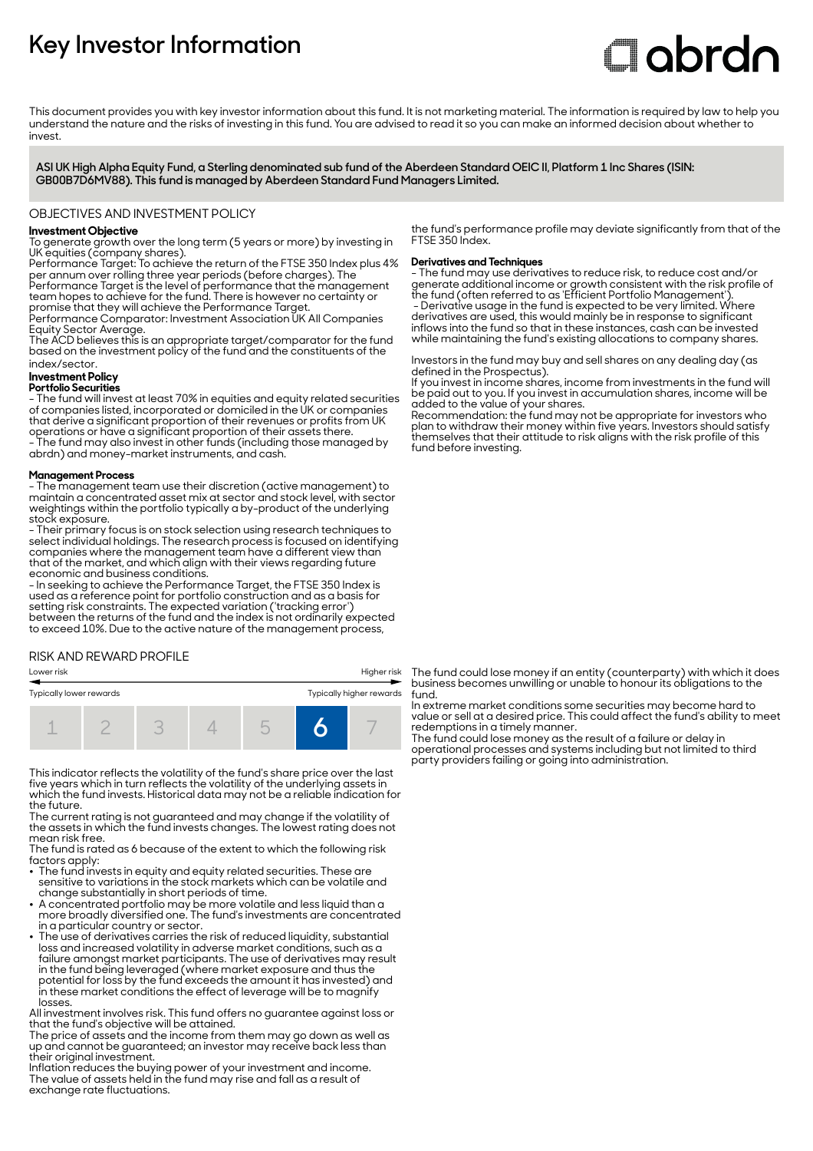# **Key Investor Information**

# Clobrdn

This document provides you with key investor information about this fund. It is not marketing material. The information is required by law to help you understand the nature and the risks of investing in this fund. You are advised to read it so you can make an informed decision about whether to invest

**ASI UK High Alpha Equity Fund, a Sterling denominated sub fund of the Aberdeen Standard OEIC II, Platform 1 Inc Shares (ISIN: GB00B7D6MV88). This fund is managed by Aberdeen Standard Fund Managers Limited.**

## OBJECTIVES AND INVESTMENT POLICY

#### **Investment Objective**

To generate growth over the long term (5 years or more) by investing in UK equities (company shares).

Performance Target: To achieve the return of the FTSE 350 Index plus 4% per annum over rolling three year periods (before charges). The Performance Target is the level of performance that the management

team hopes to achieve for the fund. There is however no certainty or promise that they will achieve the Performance Target. Performance Comparator: Investment Association UK All Companies

Equity Sector Average.

The ACD believes this is an appropriate target/comparator for the fund based on the investment policy of the fund and the constituents of the index/sector.

# **Investment Policy**

#### **Portfolio Securities**

- The fund will invest at least 70% in equities and equity related securities of companies listed, incorporated or domiciled in the UK or companies that derive a significant proportion of their revenues or profits from UK operations or have a significant proportion of their assets there. - The fund may also invest in other funds (including those managed by abrdn) and money-market instruments, and cash.

#### **Management Process**

- The management team use their discretion (active management) to maintain a concentrated asset mix at sector and stock level, with sector weightings within the portfolio typically a by-product of the underlying stock exposure.

- Their primary focus is on stock selection using research techniques to select individual holdings. The research process is focused on identifying companies where the management team have a different view than that of the market, and which align with their views regarding future economic and business conditions.

- In seeking to achieve the Performance Target, the FTSE 350 Index is used as a reference point for portfolio construction and as a basis for setting risk constraints. The expected variation ('tracking error') between the returns of the fund and the index is not ordinarily expected to exceed 10%. Due to the active nature of the management process,

# RISK AND REWARD PROFILE



This indicator reflects the volatility of the fund's share price over the last five years which in turn reflects the volatility of the underlying assets in which the fund invests. Historical data may not be a reliable indication for the future.

The current rating is not guaranteed and may change if the volatility of the assets in which the fund invests changes. The lowest rating does not mean risk free.

The fund is rated as 6 because of the extent to which the following risk factors apply:

- The fund invests in equity and equity related securities. These are sensitive to variations in the stock markets which can be volatile and change substantially in short periods of time.
- A concentrated portfolio may be more volatile and less liquid than a more broadly diversified one. The fund's investments are concentrated in a particular country or sector.
- The use of derivatives carries the risk of reduced liquidity, substantial loss and increased volatility in adverse market conditions, such as a failure amongst market participants. The use of derivatives may result in the fund being leveraged (where market exposure and thus the potential for loss by the fund exceeds the amount it has invested) and in these market conditions the effect of leverage will be to magnify losses.

All investment involves risk. This fund offers no guarantee against loss or that the fund's objective will be attained.

The price of assets and the income from them may go down as well as up and cannot be guaranteed; an investor may receive back less than their original investment.

Inflation reduces the buying power of your investment and income. The value of assets held in the fund may rise and fall as a result of exchange rate fluctuations.

the fund's performance profile may deviate significantly from that of the FTSE 350 Index.

#### **Derivatives and Techniques**

- The fund may use derivatives to reduce risk, to reduce cost and/or generate additional income or growth consistent with the risk profile of the fund (often referred to as 'Efficient Portfolio Management'). - Derivative usage in the fund is expected to be very limited. Where derivatives are used, this would mainly be in response to significant inflows into the fund so that in these instances, cash can be invested while maintaining the fund's existing allocations to company shares.

Investors in the fund may buy and sell shares on any dealing day (as defined in the Prospectus).

If you invest in income shares, income from investments in the fund will be paid out to you. If you invest in accumulation shares, income will be added to the value of your shares.

Recommendation: the fund may not be appropriate for investors who plan to withdraw their money within five years. Investors should satisfy themselves that their attitude to risk aligns with the risk profile of this fund before investing.

The fund could lose money if an entity (counterparty) with which it does business becomes unwilling or unable to honour its obligations to the fund.

In extreme market conditions some securities may become hard to value or sell at a desired price. This could affect the fund's ability to meet redemptions in a timely manner.

The fund could lose money as the result of a failure or delay in operational processes and systems including but not limited to third party providers failing or going into administration.